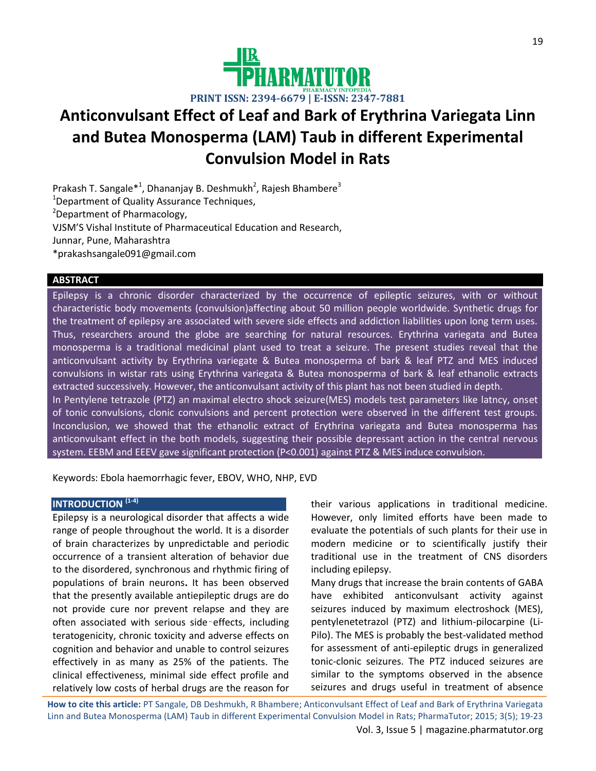

# **Anticonvulsant Effect of Leaf and Bark of Erythrina Variegata Linn and Butea Monosperma (LAM) Taub in different Experimental Convulsion Model in Rats**

Prakash T. Sangale\*<sup>1</sup>, Dhananjay B. Deshmukh<sup>2</sup>, Rajesh Bhambere<sup>3</sup> <sup>1</sup>Department of Quality Assurance Techniques, <sup>2</sup>Department of Pharmacology, VJSM'S Vishal Institute of Pharmaceutical Education and Research, Junnar, Pune, Maharashtra \*prakashsangale091@gmail.com

# **ABSTRACT**

Epilepsy is a chronic disorder characterized by the occurrence of epileptic seizures, with or without characteristic body movements (convulsion)affecting about 50 million people worldwide. Synthetic drugs for the treatment of epilepsy are associated with severe side effects and addiction liabilities upon long term uses. Thus, researchers around the globe are searching for natural resources. Erythrina variegata and Butea monosperma is a traditional medicinal plant used to treat a seizure. The present studies reveal that the anticonvulsant activity by Erythrina variegate & Butea monosperma of bark & leaf PTZ and MES induced convulsions in wistar rats using Erythrina variegata & Butea monosperma of bark & leaf ethanolic extracts extracted successively. However, the anticonvulsant activity of this plant has not been studied in depth. In Pentylene tetrazole (PTZ) an maximal electro shock seizure(MES) models test parameters like latncy, onset of tonic convulsions, clonic convulsions and percent protection were observed in the different test groups. Inconclusion, we showed that the ethanolic extract of Erythrina variegata and Butea monosperma has anticonvulsant effect in the both models, suggesting their possible depressant action in the central nervous system. EEBM and EEEV gave significant protection (P<0.001) against PTZ & MES induce convulsion.

Keywords: Ebola haemorrhagic fever, EBOV, WHO, NHP, EVD

## **INTRODUCTION (1-4)**

Epilepsy is a neurological disorder that affects a wide range of people throughout the world. It is a disorder of brain characterizes by unpredictable and periodic occurrence of a transient alteration of behavior due to the disordered, synchronous and rhythmic firing of populations of brain neurons**.** It has been observed that the presently available antiepileptic drugs are do not provide cure nor prevent relapse and they are often associated with serious side‑effects, including teratogenicity, chronic toxicity and adverse effects on cognition and behavior and unable to control seizures effectively in as many as 25% of the patients. The clinical effectiveness, minimal side effect profile and relatively low costs of herbal drugs are the reason for

their various applications in traditional medicine. However, only limited efforts have been made to evaluate the potentials of such plants for their use in modern medicine or to scientifically justify their traditional use in the treatment of CNS disorders including epilepsy.

Many drugs that increase the brain contents of GABA have exhibited anticonvulsant activity against seizures induced by maximum electroshock (MES), pentylenetetrazol (PTZ) and lithium-pilocarpine (Li-Pilo). The MES is probably the best-validated method for assessment of anti-epileptic drugs in generalized tonic-clonic seizures. The PTZ induced seizures are similar to the symptoms observed in the absence seizures and drugs useful in treatment of absence

**How to cite this article:** PT Sangale, DB Deshmukh, R Bhambere; Anticonvulsant Effect of Leaf and Bark of Erythrina Variegata Linn and Butea Monosperma (LAM) Taub in different Experimental Convulsion Model in Rats; PharmaTutor; 2015; 3(5); 19-23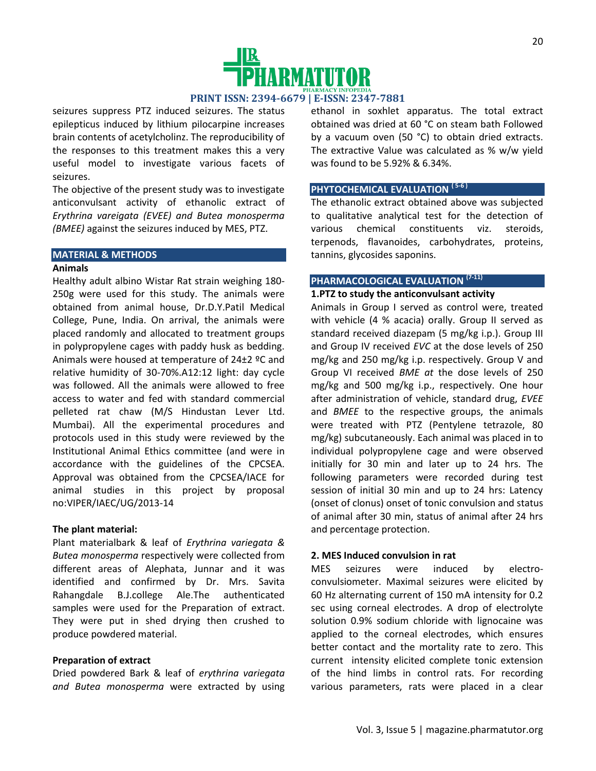

seizures suppress PTZ induced seizures. The status epilepticus induced by lithium pilocarpine increases brain contents of acetylcholinz. The reproducibility of the responses to this treatment makes this a very useful model to investigate various facets of seizures.

The objective of the present study was to investigate anticonvulsant activity of ethanolic extract of *Erythrina vareigata (EVEE) and Butea monosperma (BMEE)* against the seizures induced by MES, PTZ.

#### **MATERIAL & METHODS**

## **Animals**

Healthy adult albino Wistar Rat strain weighing 180- 250g were used for this study. The animals were obtained from animal house, Dr.D.Y.Patil Medical College, Pune, India. On arrival, the animals were placed randomly and allocated to treatment groups in polypropylene cages with paddy husk as bedding. Animals were housed at temperature of 24±2 ºC and relative humidity of 30-70%.A12:12 light: day cycle was followed. All the animals were allowed to free access to water and fed with standard commercial pelleted rat chaw (M/S Hindustan Lever Ltd. Mumbai). All the experimental procedures and protocols used in this study were reviewed by the Institutional Animal Ethics committee (and were in accordance with the guidelines of the CPCSEA. Approval was obtained from the CPCSEA/IACE for animal studies in this project by proposal no:VIPER/IAEC/UG/2013-14

### **The plant material:**

Plant materialbark & leaf of *Erythrina variegata & Butea monosperma* respectively were collected from different areas of Alephata, Junnar and it was identified and confirmed by Dr. Mrs. Savita Rahangdale B.J.college Ale.The authenticated samples were used for the Preparation of extract. They were put in shed drying then crushed to produce powdered material.

#### **Preparation of extract**

Dried powdered Bark & leaf of *erythrina variegata and Butea monosperma* were extracted by using ethanol in soxhlet apparatus. The total extract obtained was dried at 60 °C on steam bath Followed by a vacuum oven (50 °C) to obtain dried extracts. The extractive Value was calculated as % w/w yield was found to be 5.92% & 6.34%.

## **PHYTOCHEMICAL EVALUATION ( 5-6 )**

The ethanolic extract obtained above was subjected to qualitative analytical test for the detection of various chemical constituents viz. steroids, terpenods, flavanoides, carbohydrates, proteins, tannins, glycosides saponins.

# **PHARMACOLOGICAL EVALUATION (7-11)**

# **1.PTZ to study the anticonvulsant activity**

Animals in Group I served as control were, treated with vehicle (4 % acacia) orally. Group II served as standard received diazepam (5 mg/kg i.p.). Group III and Group IV received *EVC* at the dose levels of 250 mg/kg and 250 mg/kg i.p. respectively. Group V and Group VI received *BME at* the dose levels of 250 mg/kg and 500 mg/kg i.p., respectively. One hour after administration of vehicle, standard drug, *EVEE* and *BMEE* to the respective groups, the animals were treated with PTZ (Pentylene tetrazole, 80 mg/kg) subcutaneously. Each animal was placed in to individual polypropylene cage and were observed initially for 30 min and later up to 24 hrs. The following parameters were recorded during test session of initial 30 min and up to 24 hrs: Latency (onset of clonus) onset of tonic convulsion and status of animal after 30 min, status of animal after 24 hrs and percentage protection.

### **2. MES Induced convulsion in rat**

MES seizures were induced by electroconvulsiometer. Maximal seizures were elicited by 60 Hz alternating current of 150 mA intensity for 0.2 sec using corneal electrodes. A drop of electrolyte solution 0.9% sodium chloride with lignocaine was applied to the corneal electrodes, which ensures better contact and the mortality rate to zero. This current intensity elicited complete tonic extension of the hind limbs in control rats. For recording various parameters, rats were placed in a clear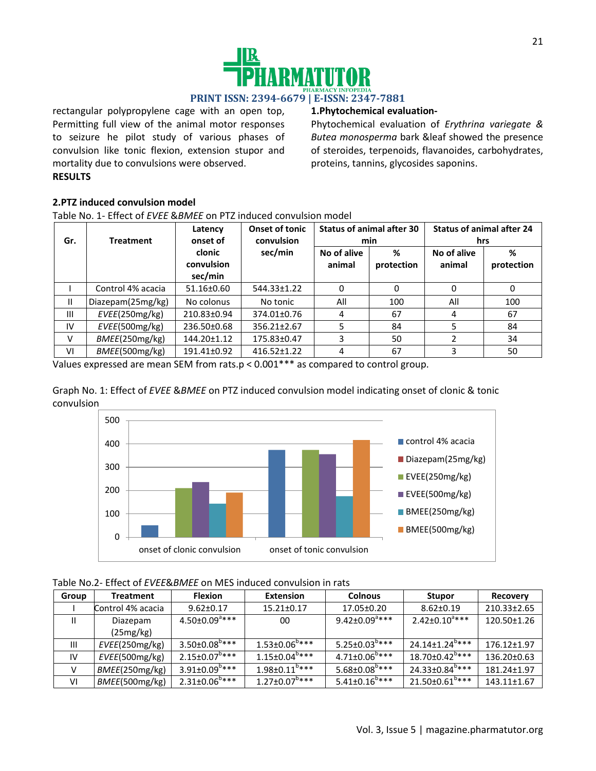

rectangular polypropylene cage with an open top, Permitting full view of the animal motor responses to seizure he pilot study of various phases of convulsion like tonic flexion, extension stupor and mortality due to convulsions were observed. **RESULTS**

# **1.Phytochemical evaluation-**

Phytochemical evaluation of *Erythrina variegate & Butea monosperma* bark &leaf showed the presence of steroides, terpenoids, flavanoides, carbohydrates, proteins, tannins, glycosides saponins.

## **2.PTZ induced convulsion model**

Table No. 1- Effect of *EVEE* &*BMEE* on PTZ induced convulsion model

| Gr.            | <b>Treatment</b>  | Latency<br>onset of             | <b>Onset of tonic</b><br>convulsion | <b>Status of animal after 30</b><br>min |                 | <b>Status of animal after 24</b><br>hrs |                 |
|----------------|-------------------|---------------------------------|-------------------------------------|-----------------------------------------|-----------------|-----------------------------------------|-----------------|
|                |                   | clonic<br>convulsion<br>sec/min | sec/min                             | No of alive<br>animal                   | %<br>protection | No of alive<br>animal                   | %<br>protection |
|                | Control 4% acacia | 51.16±0.60                      | 544.33±1.22                         | 0                                       | 0               |                                         | 0               |
| $\mathbf{H}$   | Diazepam(25mg/kg) | No colonus                      | No tonic                            | All                                     | 100             | All                                     | 100             |
| $\mathbf{III}$ | EVEE(250mg/kg)    | 210.83±0.94                     | 374.01±0.76                         | 4                                       | 67              | 4                                       | 67              |
| IV             | EVEE(500mg/kg)    | 236.50±0.68                     | 356.21±2.67                         | 5                                       | 84              |                                         | 84              |
| v              | BMEE(250mg/kg)    | 144.20±1.12                     | 175.83±0.47                         | 3                                       | 50              | າ                                       | 34              |
| VI             | BMEE(500mg/kg)    | 191.41±0.92                     | $416.52 \pm 1.22$                   | 4                                       | 67              |                                         | 50              |

Values expressed are mean SEM from rats.p < 0.001\*\*\* as compared to control group.

Graph No. 1: Effect of *EVEE* &*BMEE* on PTZ induced convulsion model indicating onset of clonic & tonic convulsion



| Table No.2- Effect of EVEE&BMEE on MES induced convulsion in rats |  |
|-------------------------------------------------------------------|--|
|-------------------------------------------------------------------|--|

| Group         | <b>Treatment</b>  | <b>Flexion</b>                  | <b>Extension</b>                | <b>Colnous</b>                  | <b>Stupor</b>                     | Recovery    |
|---------------|-------------------|---------------------------------|---------------------------------|---------------------------------|-----------------------------------|-------------|
|               | Control 4% acacia | $9.62 \pm 0.17$                 | $15.21 \pm 0.17$                | 17.05±0.20                      | $8.62 \pm 0.19$                   | 210.33±2.65 |
| Ш             | Diazepam          | $4.50 \pm 0.09$ <sup>d***</sup> | 00                              | $9.42 \pm 0.09$ <sup>a***</sup> | $2.42 \pm 0.10^{3***}$            | 120.50±1.26 |
|               | (25mg/kg)         |                                 |                                 |                                 |                                   |             |
| Ш             | EVEE(250mg/kg)    | $3.50 \pm 0.08^{\circ***}$      | $1.53 \pm 0.06^{6}$ ***         | $5.25 \pm 0.03^{0***}$          | $24.14+1.24^{6***}$               | 176.12±1.97 |
| IV            | EVEE(500mg/kg)    | $2.15 \pm 0.07^{\text{b}***}$   | $1.15 \pm 0.04$ <sup>b***</sup> | $4.71{\pm}0.06^{\text{b}***}$   | $18.70 \pm 0.42^{\text{b}***}$    | 136.20±0.63 |
| $\mathcal{L}$ | BMEE(250mg/kg)    | $3.91 \pm 0.09^{b***}$          | $1.98 \pm 0.11^{0***}$          | $5.68 \pm 0.08$ <sup>b***</sup> | $24.33 \pm 0.84^{b***}$           | 181.24±1.97 |
| VI            | BMEE(500mg/kg)    | $2.31 \pm 0.06^{6***}$          | $1.27 \pm 0.07$ <sup>b***</sup> | $5.41 \pm 0.16$ <sup>b***</sup> | $21.50 \pm 0.61$ <sup>0****</sup> | 143.11±1.67 |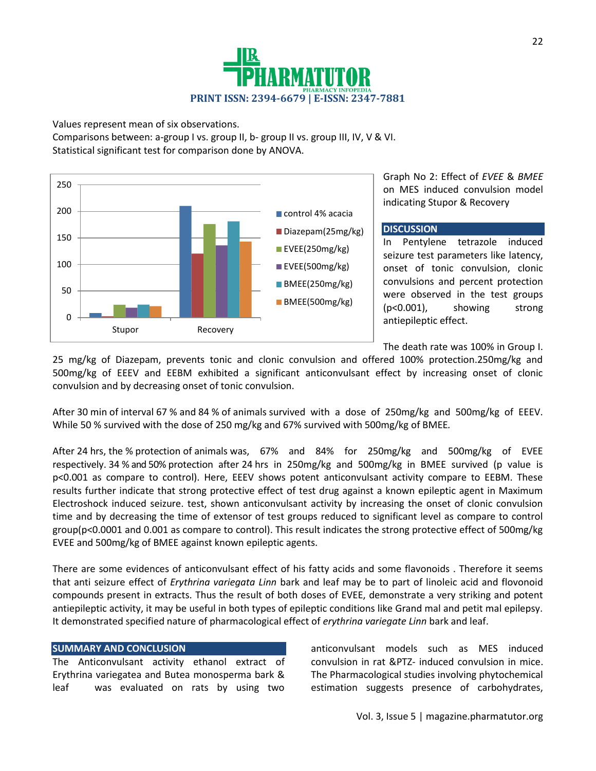

Values represent mean of six observations.

Comparisons between: a-group I vs. group II, b- group II vs. group III, IV, V & VI. Statistical significant test for comparison done by ANOVA.



Graph No 2: Effect of *EVEE* & *BMEE*  on MES induced convulsion model indicating Stupor & Recovery

## **DISCUSSION**

In Pentylene tetrazole induced seizure test parameters like latency, onset of tonic convulsion, clonic convulsions and percent protection were observed in the test groups (p<0.001), showing strong antiepileptic effect.

The death rate was 100% in Group I.

25 mg/kg of Diazepam, prevents tonic and clonic convulsion and offered 100% protection.250mg/kg and 500mg/kg of EEEV and EEBM exhibited a significant anticonvulsant effect by increasing onset of clonic convulsion and by decreasing onset of tonic convulsion.

After 30 min of interval 67 % and 84 % of animals survived with a dose of 250mg/kg and 500mg/kg of EEEV. While 50 % survived with the dose of 250 mg/kg and 67% survived with 500mg/kg of BMEE*.*

After 24 hrs, the % protection of animals was, 67% and 84% for 250mg/kg and 500mg/kg of EVEE respectively. 34 % and 50% protection after 24 hrs in 250mg/kg and 500mg/kg in BMEE survived (p value is p<0.001 as compare to control). Here, EEEV shows potent anticonvulsant activity compare to EEBM. These results further indicate that strong protective effect of test drug against a known epileptic agent in Maximum Electroshock induced seizure. test, shown anticonvulsant activity by increasing the onset of clonic convulsion time and by decreasing the time of extensor of test groups reduced to significant level as compare to control group(p<0.0001 and 0.001 as compare to control). This result indicates the strong protective effect of 500mg/kg EVEE and 500mg/kg of BMEE against known epileptic agents.

There are some evidences of anticonvulsant effect of his fatty acids and some flavonoids . Therefore it seems that anti seizure effect of *Erythrina variegata Linn* bark and leaf may be to part of linoleic acid and flovonoid compounds present in extracts. Thus the result of both doses of EVEE, demonstrate a very striking and potent antiepileptic activity, it may be useful in both types of epileptic conditions like Grand mal and petit mal epilepsy. It demonstrated specified nature of pharmacological effect of *erythrina variegate Linn* bark and leaf.

## **SUMMARY AND CONCLUSION**

The Anticonvulsant activity ethanol extract of Erythrina variegatea and Butea monosperma bark & leaf was evaluated on rats by using two

anticonvulsant models such as MES induced convulsion in rat &PTZ- induced convulsion in mice. The Pharmacological studies involving phytochemical estimation suggests presence of carbohydrates,